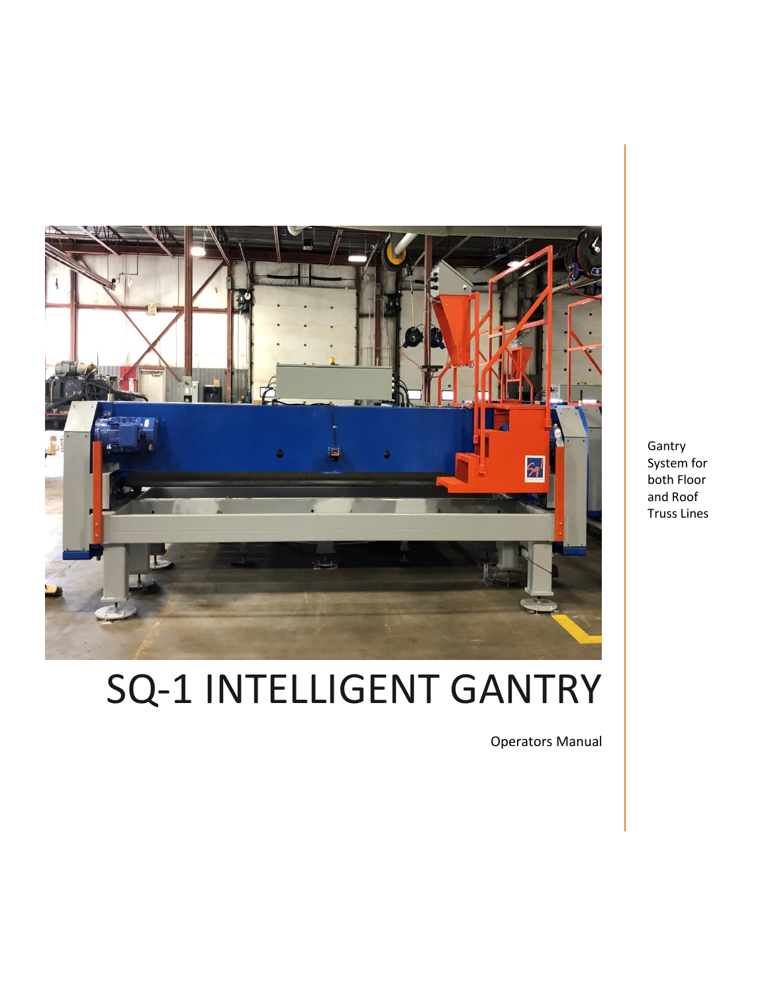

SQ-1 INTELLIGENT GANTRY

Operators Manual

Gantry System for both Floor and Roof Truss Lines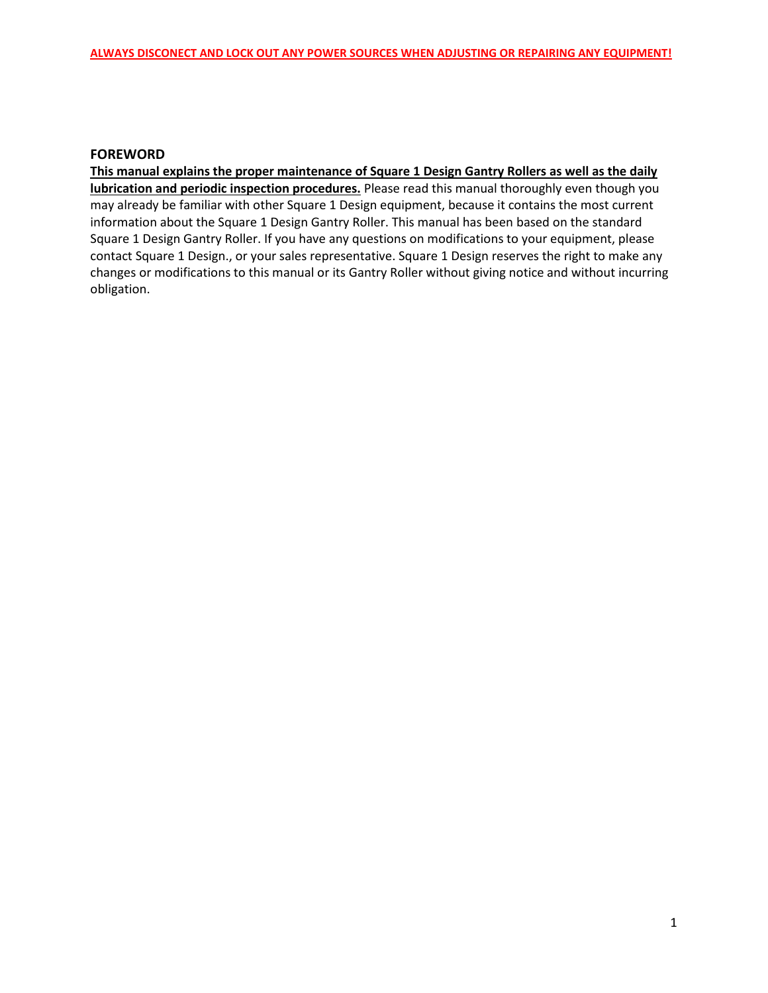#### **FOREWORD**

**This manual explains the proper maintenance of Square 1 Design Gantry Rollers as well as the daily lubrication and periodic inspection procedures.** Please read this manual thoroughly even though you may already be familiar with other Square 1 Design equipment, because it contains the most current information about the Square 1 Design Gantry Roller. This manual has been based on the standard Square 1 Design Gantry Roller. If you have any questions on modifications to your equipment, please contact Square 1 Design., or your sales representative. Square 1 Design reserves the right to make any changes or modifications to this manual or its Gantry Roller without giving notice and without incurring obligation.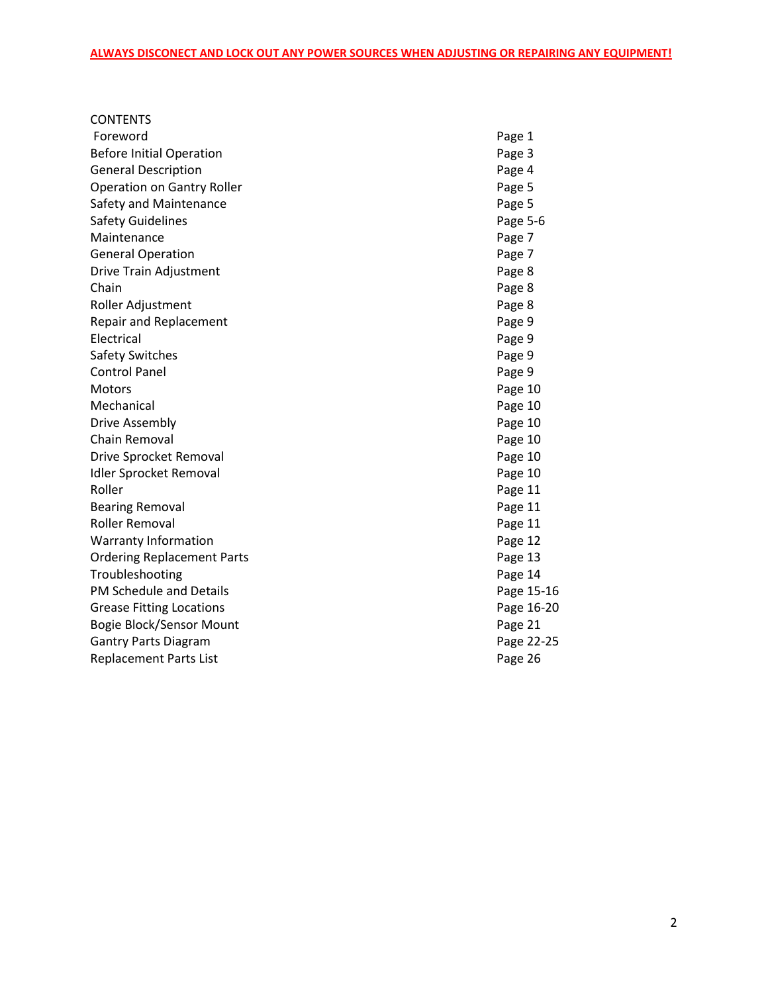| <b>CONTENTS</b>                   |            |
|-----------------------------------|------------|
| Foreword                          | Page 1     |
| <b>Before Initial Operation</b>   | Page 3     |
| <b>General Description</b>        | Page 4     |
| <b>Operation on Gantry Roller</b> | Page 5     |
| Safety and Maintenance            | Page 5     |
| <b>Safety Guidelines</b>          | Page 5-6   |
| Maintenance                       | Page 7     |
| <b>General Operation</b>          | Page 7     |
| Drive Train Adjustment            | Page 8     |
| Chain                             | Page 8     |
| Roller Adjustment                 | Page 8     |
| <b>Repair and Replacement</b>     | Page 9     |
| Electrical                        | Page 9     |
| <b>Safety Switches</b>            | Page 9     |
| <b>Control Panel</b>              | Page 9     |
| <b>Motors</b>                     | Page 10    |
| Mechanical                        | Page 10    |
| Drive Assembly                    | Page 10    |
| Chain Removal                     | Page 10    |
| Drive Sprocket Removal            | Page 10    |
| Idler Sprocket Removal            | Page 10    |
| Roller                            | Page 11    |
| <b>Bearing Removal</b>            | Page 11    |
| <b>Roller Removal</b>             | Page 11    |
| <b>Warranty Information</b>       | Page 12    |
| <b>Ordering Replacement Parts</b> | Page 13    |
| Troubleshooting                   | Page 14    |
| <b>PM Schedule and Details</b>    | Page 15-16 |
| <b>Grease Fitting Locations</b>   | Page 16-20 |
| <b>Bogie Block/Sensor Mount</b>   | Page 21    |
| <b>Gantry Parts Diagram</b>       | Page 22-25 |
| <b>Replacement Parts List</b>     | Page 26    |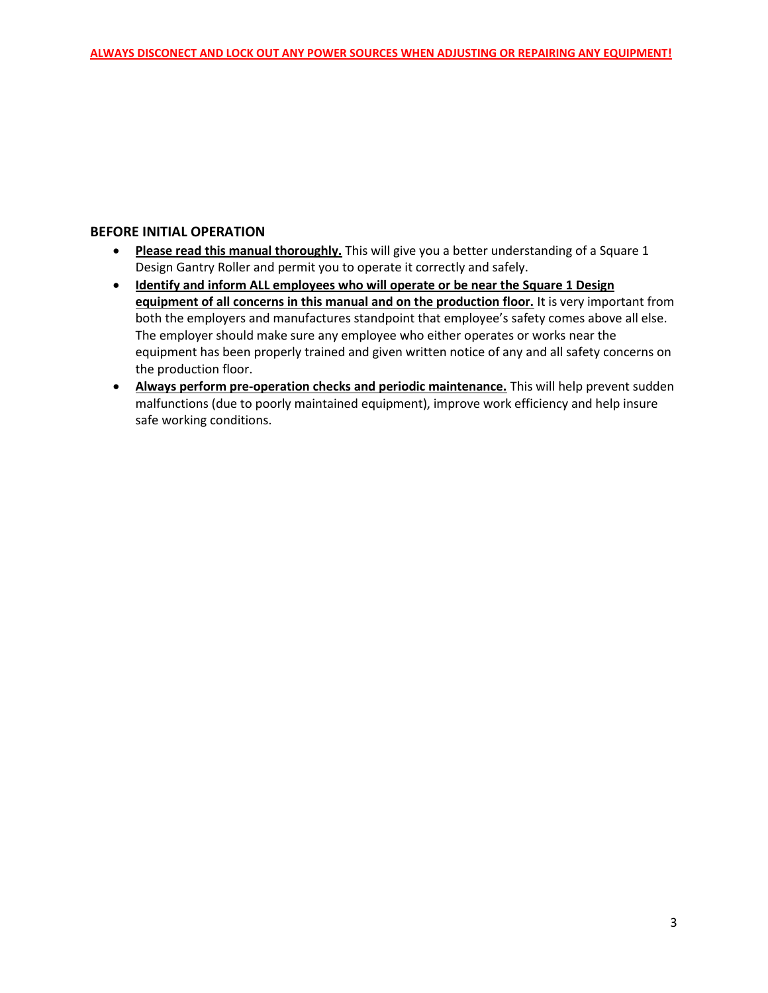### **BEFORE INITIAL OPERATION**

- **Please read this manual thoroughly.** This will give you a better understanding of a Square 1 Design Gantry Roller and permit you to operate it correctly and safely.
- **Identify and inform ALL employees who will operate or be near the Square 1 Design equipment of all concerns in this manual and on the production floor.** It is very important from both the employers and manufactures standpoint that employee's safety comes above all else. The employer should make sure any employee who either operates or works near the equipment has been properly trained and given written notice of any and all safety concerns on the production floor.
- **Always perform pre-operation checks and periodic maintenance.** This will help prevent sudden malfunctions (due to poorly maintained equipment), improve work efficiency and help insure safe working conditions.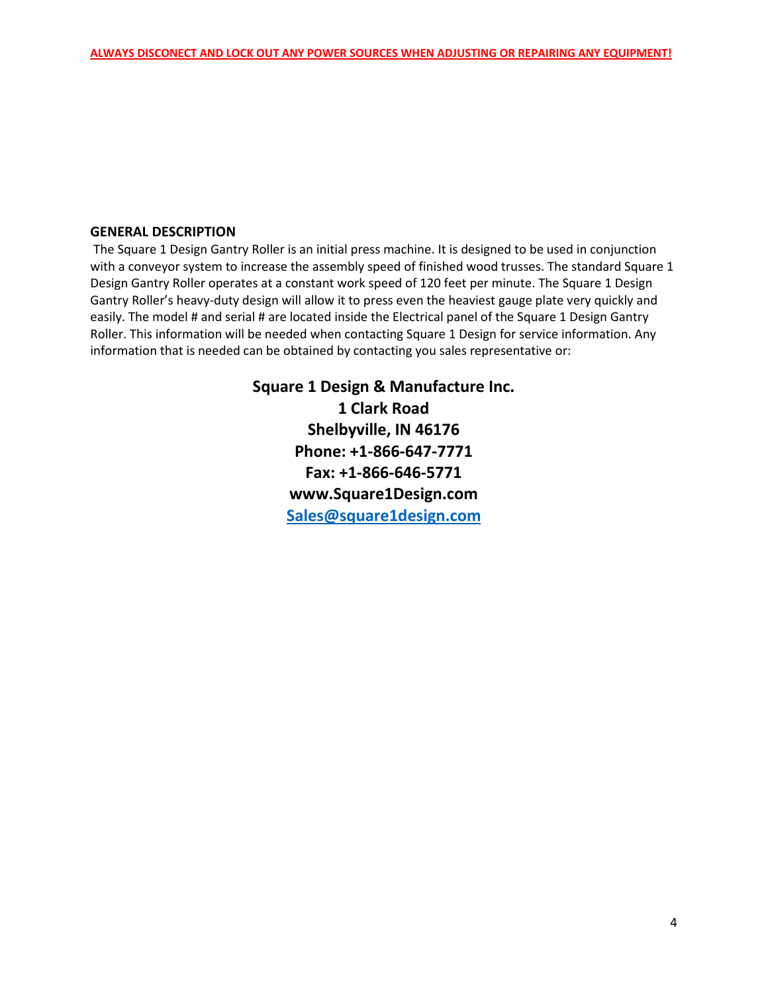#### **GENERAL DESCRIPTION**

The Square 1 Design Gantry Roller is an initial press machine. It is designed to be used in conjunction with a conveyor system to increase the assembly speed of finished wood trusses. The standard Square 1 Design Gantry Roller operates at a constant work speed of 120 feet per minute. The Square 1 Design Gantry Roller's heavy-duty design will allow it to press even the heaviest gauge plate very quickly and easily. The model # and serial # are located inside the Electrical panel of the Square 1 Design Gantry Roller. This information will be needed when contacting Square 1 Design for service information. Any information that is needed can be obtained by contacting you sales representative or:

> **Square 1 Design & Manufacture Inc. 1 Clark Road Shelbyville, IN 46176 Phone: +1-866-647-7771 Fax: +1-866-646-5771 www.Square1Design.com [Sales@square1design.com](mailto:Sales@square1design.com)**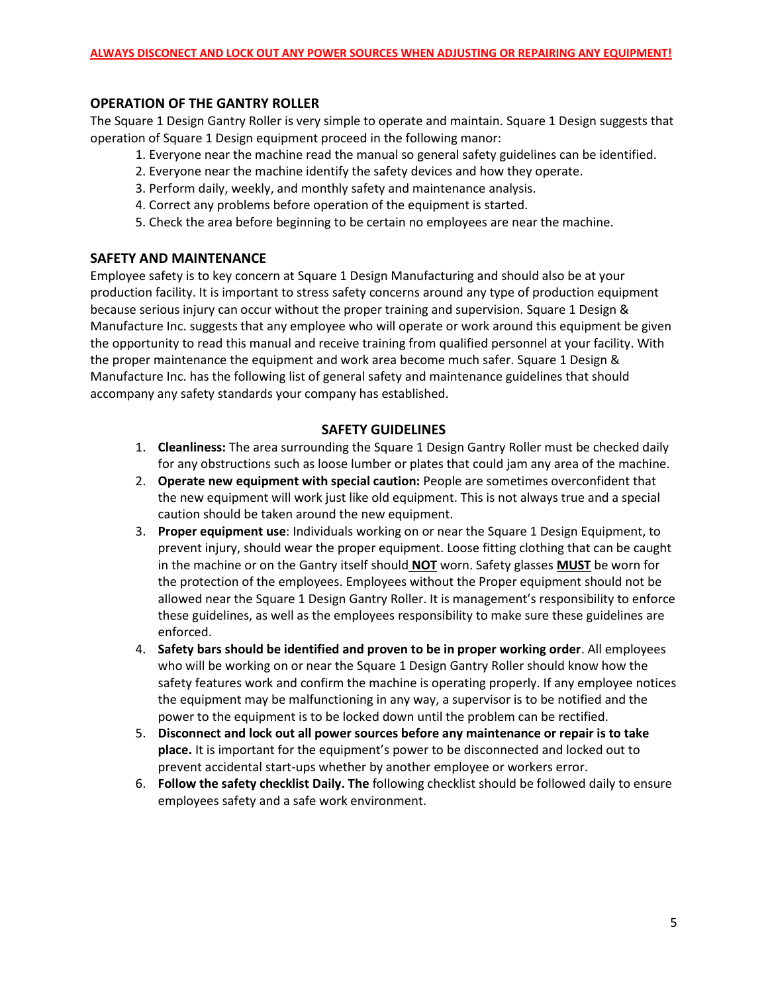### **OPERATION OF THE GANTRY ROLLER**

The Square 1 Design Gantry Roller is very simple to operate and maintain. Square 1 Design suggests that operation of Square 1 Design equipment proceed in the following manor:

- 1. Everyone near the machine read the manual so general safety guidelines can be identified.
- 2. Everyone near the machine identify the safety devices and how they operate.
- 3. Perform daily, weekly, and monthly safety and maintenance analysis.
- 4. Correct any problems before operation of the equipment is started.
- 5. Check the area before beginning to be certain no employees are near the machine.

#### **SAFETY AND MAINTENANCE**

Employee safety is to key concern at Square 1 Design Manufacturing and should also be at your production facility. It is important to stress safety concerns around any type of production equipment because serious injury can occur without the proper training and supervision. Square 1 Design & Manufacture Inc. suggests that any employee who will operate or work around this equipment be given the opportunity to read this manual and receive training from qualified personnel at your facility. With the proper maintenance the equipment and work area become much safer. Square 1 Design & Manufacture Inc. has the following list of general safety and maintenance guidelines that should accompany any safety standards your company has established.

#### **SAFETY GUIDELINES**

- 1. **Cleanliness:** The area surrounding the Square 1 Design Gantry Roller must be checked daily for any obstructions such as loose lumber or plates that could jam any area of the machine.
- 2. **Operate new equipment with special caution:** People are sometimes overconfident that the new equipment will work just like old equipment. This is not always true and a special caution should be taken around the new equipment.
- 3. **Proper equipment use**: Individuals working on or near the Square 1 Design Equipment, to prevent injury, should wear the proper equipment. Loose fitting clothing that can be caught in the machine or on the Gantry itself should **NOT** worn. Safety glasses **MUST** be worn for the protection of the employees. Employees without the Proper equipment should not be allowed near the Square 1 Design Gantry Roller. It is management's responsibility to enforce these guidelines, as well as the employees responsibility to make sure these guidelines are enforced.
- 4. **Safety bars should be identified and proven to be in proper working order**. All employees who will be working on or near the Square 1 Design Gantry Roller should know how the safety features work and confirm the machine is operating properly. If any employee notices the equipment may be malfunctioning in any way, a supervisor is to be notified and the power to the equipment is to be locked down until the problem can be rectified.
- 5. **Disconnect and lock out all power sources before any maintenance or repair is to take place.** It is important for the equipment's power to be disconnected and locked out to prevent accidental start-ups whether by another employee or workers error.
- 6. **Follow the safety checklist Daily. The** following checklist should be followed daily to ensure employees safety and a safe work environment.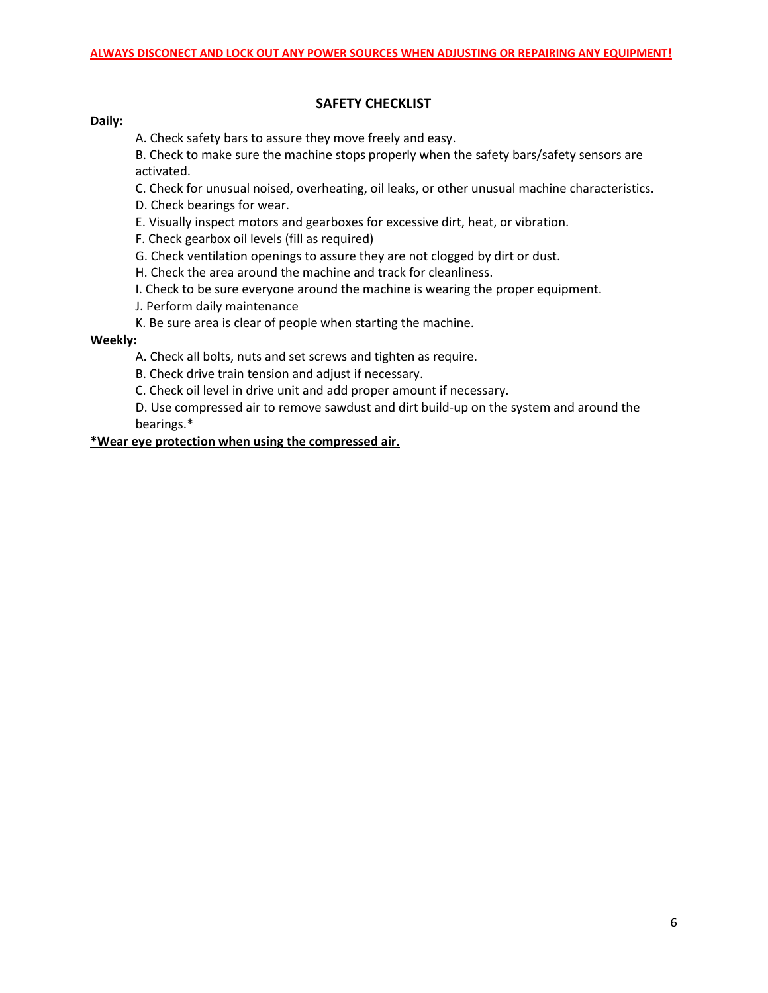# **SAFETY CHECKLIST**

#### **Daily:**

A. Check safety bars to assure they move freely and easy.

B. Check to make sure the machine stops properly when the safety bars/safety sensors are activated.

C. Check for unusual noised, overheating, oil leaks, or other unusual machine characteristics.

D. Check bearings for wear.

E. Visually inspect motors and gearboxes for excessive dirt, heat, or vibration.

F. Check gearbox oil levels (fill as required)

G. Check ventilation openings to assure they are not clogged by dirt or dust.

H. Check the area around the machine and track for cleanliness.

I. Check to be sure everyone around the machine is wearing the proper equipment.

J. Perform daily maintenance

K. Be sure area is clear of people when starting the machine.

#### **Weekly:**

A. Check all bolts, nuts and set screws and tighten as require.

B. Check drive train tension and adjust if necessary.

C. Check oil level in drive unit and add proper amount if necessary.

D. Use compressed air to remove sawdust and dirt build-up on the system and around the bearings.\*

#### **\*Wear eye protection when using the compressed air.**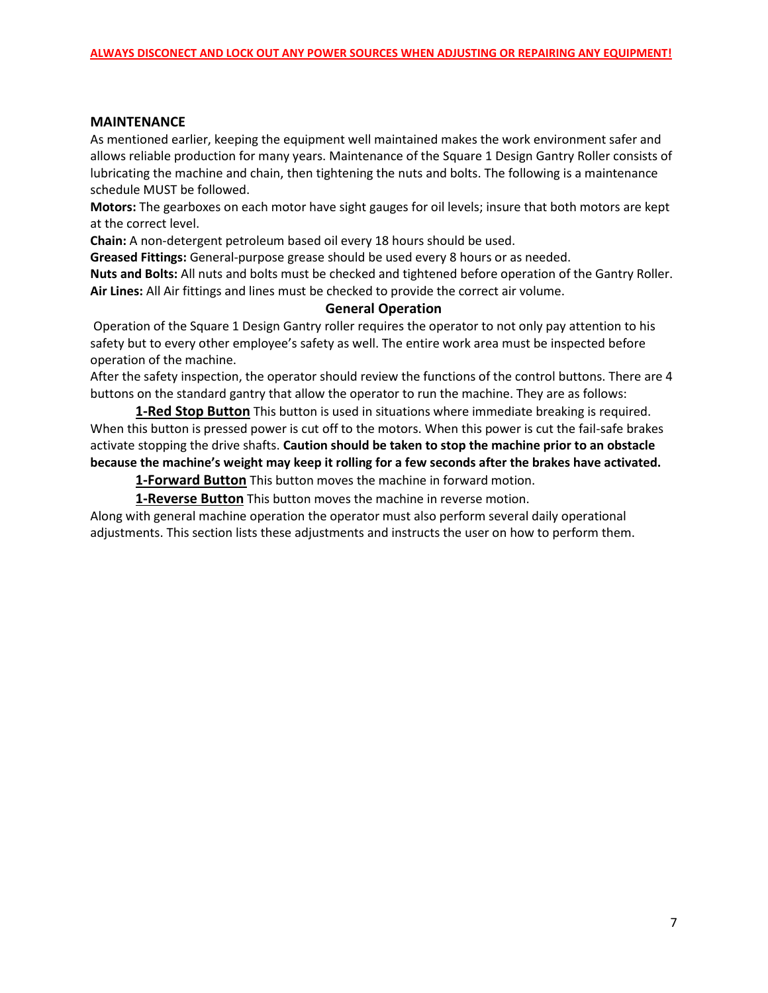#### **MAINTENANCE**

As mentioned earlier, keeping the equipment well maintained makes the work environment safer and allows reliable production for many years. Maintenance of the Square 1 Design Gantry Roller consists of lubricating the machine and chain, then tightening the nuts and bolts. The following is a maintenance schedule MUST be followed.

**Motors:** The gearboxes on each motor have sight gauges for oil levels; insure that both motors are kept at the correct level.

**Chain:** A non-detergent petroleum based oil every 18 hours should be used.

**Greased Fittings:** General-purpose grease should be used every 8 hours or as needed.

**Nuts and Bolts:** All nuts and bolts must be checked and tightened before operation of the Gantry Roller. **Air Lines:** All Air fittings and lines must be checked to provide the correct air volume.

#### **General Operation**

Operation of the Square 1 Design Gantry roller requires the operator to not only pay attention to his safety but to every other employee's safety as well. The entire work area must be inspected before operation of the machine.

After the safety inspection, the operator should review the functions of the control buttons. There are 4 buttons on the standard gantry that allow the operator to run the machine. They are as follows:

**1-Red Stop Button** This button is used in situations where immediate breaking is required. When this button is pressed power is cut off to the motors. When this power is cut the fail-safe brakes activate stopping the drive shafts. **Caution should be taken to stop the machine prior to an obstacle because the machine's weight may keep it rolling for a few seconds after the brakes have activated.**

**1-Forward Button** This button moves the machine in forward motion.

**1-Reverse Button** This button moves the machine in reverse motion.

Along with general machine operation the operator must also perform several daily operational adjustments. This section lists these adjustments and instructs the user on how to perform them.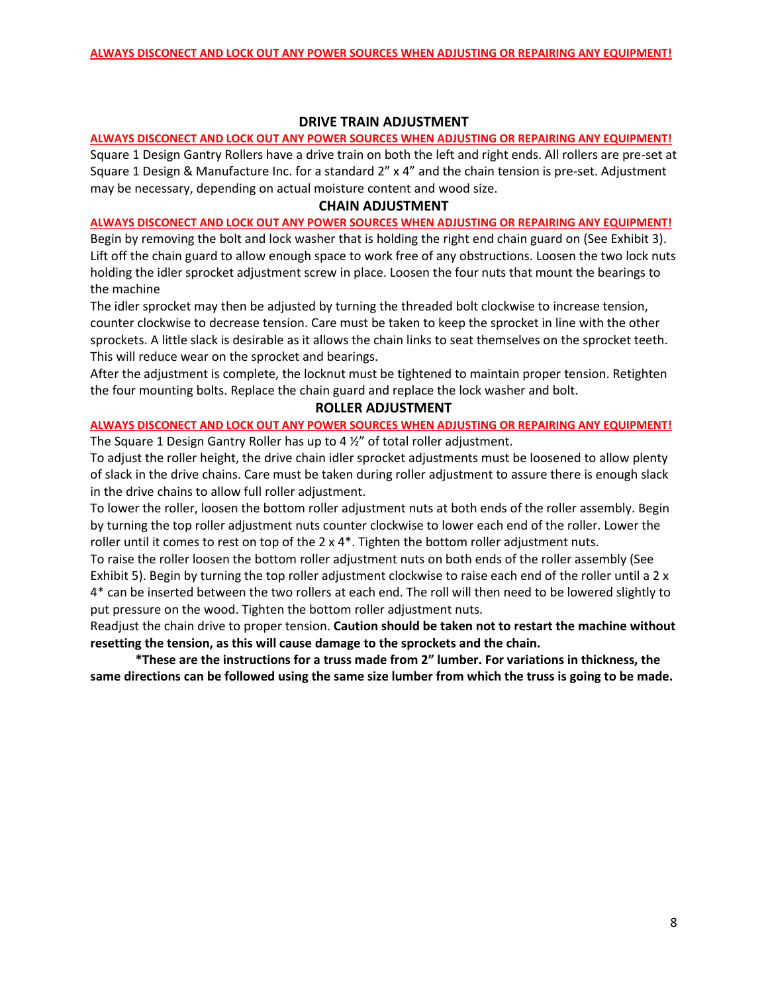#### **DRIVE TRAIN ADJUSTMENT**

#### **ALWAYS DISCONECT AND LOCK OUT ANY POWER SOURCES WHEN ADJUSTING OR REPAIRING ANY EQUIPMENT!**

Square 1 Design Gantry Rollers have a drive train on both the left and right ends. All rollers are pre-set at Square 1 Design & Manufacture Inc. for a standard 2" x 4" and the chain tension is pre-set. Adjustment may be necessary, depending on actual moisture content and wood size.

#### **CHAIN ADJUSTMENT**

#### **ALWAYS DISCONECT AND LOCK OUT ANY POWER SOURCES WHEN ADJUSTING OR REPAIRING ANY EQUIPMENT!**

Begin by removing the bolt and lock washer that is holding the right end chain guard on (See Exhibit 3). Lift off the chain guard to allow enough space to work free of any obstructions. Loosen the two lock nuts holding the idler sprocket adjustment screw in place. Loosen the four nuts that mount the bearings to the machine

The idler sprocket may then be adjusted by turning the threaded bolt clockwise to increase tension, counter clockwise to decrease tension. Care must be taken to keep the sprocket in line with the other sprockets. A little slack is desirable as it allows the chain links to seat themselves on the sprocket teeth. This will reduce wear on the sprocket and bearings.

After the adjustment is complete, the locknut must be tightened to maintain proper tension. Retighten the four mounting bolts. Replace the chain guard and replace the lock washer and bolt.

#### **ROLLER ADJUSTMENT**

**ALWAYS DISCONECT AND LOCK OUT ANY POWER SOURCES WHEN ADJUSTING OR REPAIRING ANY EQUIPMENT!**  The Square 1 Design Gantry Roller has up to 4 ½" of total roller adjustment.

To adjust the roller height, the drive chain idler sprocket adjustments must be loosened to allow plenty of slack in the drive chains. Care must be taken during roller adjustment to assure there is enough slack in the drive chains to allow full roller adjustment.

To lower the roller, loosen the bottom roller adjustment nuts at both ends of the roller assembly. Begin by turning the top roller adjustment nuts counter clockwise to lower each end of the roller. Lower the roller until it comes to rest on top of the 2 x 4\*. Tighten the bottom roller adjustment nuts.

To raise the roller loosen the bottom roller adjustment nuts on both ends of the roller assembly (See Exhibit 5). Begin by turning the top roller adjustment clockwise to raise each end of the roller until a 2 x 4\* can be inserted between the two rollers at each end. The roll will then need to be lowered slightly to put pressure on the wood. Tighten the bottom roller adjustment nuts.

Readjust the chain drive to proper tension. **Caution should be taken not to restart the machine without resetting the tension, as this will cause damage to the sprockets and the chain.**

**\*These are the instructions for a truss made from 2" lumber. For variations in thickness, the same directions can be followed using the same size lumber from which the truss is going to be made.**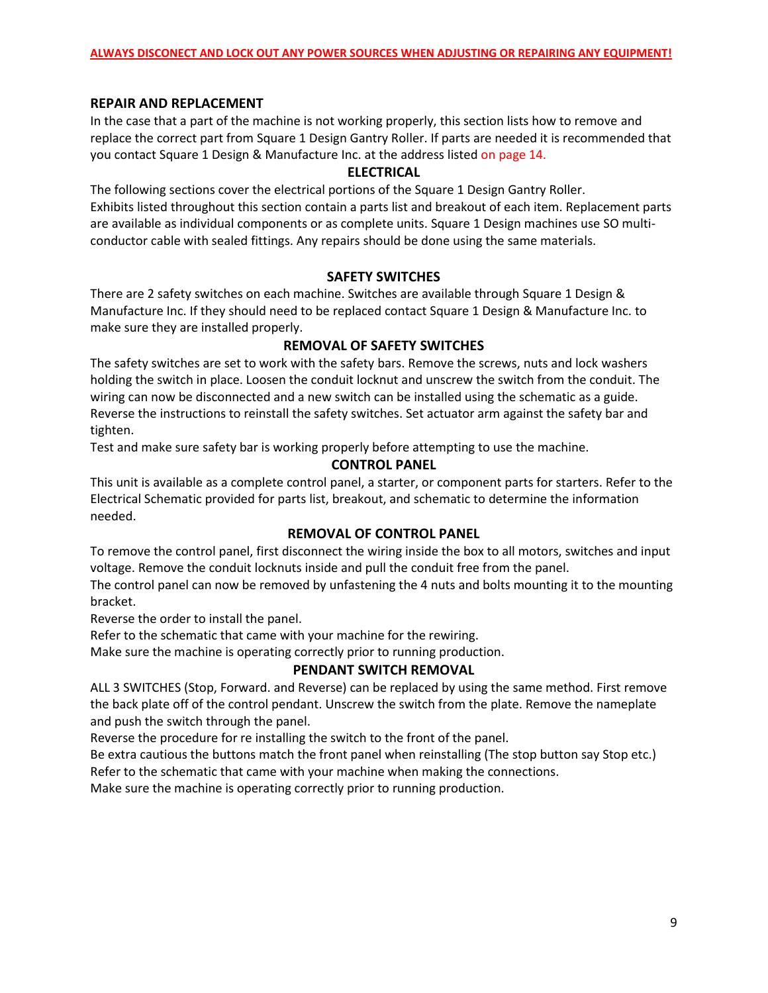#### **REPAIR AND REPLACEMENT**

In the case that a part of the machine is not working properly, this section lists how to remove and replace the correct part from Square 1 Design Gantry Roller. If parts are needed it is recommended that you contact Square 1 Design & Manufacture Inc. at the address listed on page 14.

#### **ELECTRICAL**

The following sections cover the electrical portions of the Square 1 Design Gantry Roller. Exhibits listed throughout this section contain a parts list and breakout of each item. Replacement parts are available as individual components or as complete units. Square 1 Design machines use SO multiconductor cable with sealed fittings. Any repairs should be done using the same materials.

#### **SAFETY SWITCHES**

There are 2 safety switches on each machine. Switches are available through Square 1 Design & Manufacture Inc. If they should need to be replaced contact Square 1 Design & Manufacture Inc. to make sure they are installed properly.

#### **REMOVAL OF SAFETY SWITCHES**

The safety switches are set to work with the safety bars. Remove the screws, nuts and lock washers holding the switch in place. Loosen the conduit locknut and unscrew the switch from the conduit. The wiring can now be disconnected and a new switch can be installed using the schematic as a guide. Reverse the instructions to reinstall the safety switches. Set actuator arm against the safety bar and tighten.

Test and make sure safety bar is working properly before attempting to use the machine.

#### **CONTROL PANEL**

This unit is available as a complete control panel, a starter, or component parts for starters. Refer to the Electrical Schematic provided for parts list, breakout, and schematic to determine the information needed.

### **REMOVAL OF CONTROL PANEL**

To remove the control panel, first disconnect the wiring inside the box to all motors, switches and input voltage. Remove the conduit locknuts inside and pull the conduit free from the panel.

The control panel can now be removed by unfastening the 4 nuts and bolts mounting it to the mounting bracket.

Reverse the order to install the panel.

Refer to the schematic that came with your machine for the rewiring.

Make sure the machine is operating correctly prior to running production.

#### **PENDANT SWITCH REMOVAL**

ALL 3 SWITCHES (Stop, Forward. and Reverse) can be replaced by using the same method. First remove the back plate off of the control pendant. Unscrew the switch from the plate. Remove the nameplate and push the switch through the panel.

Reverse the procedure for re installing the switch to the front of the panel.

Be extra cautious the buttons match the front panel when reinstalling (The stop button say Stop etc.) Refer to the schematic that came with your machine when making the connections.

Make sure the machine is operating correctly prior to running production.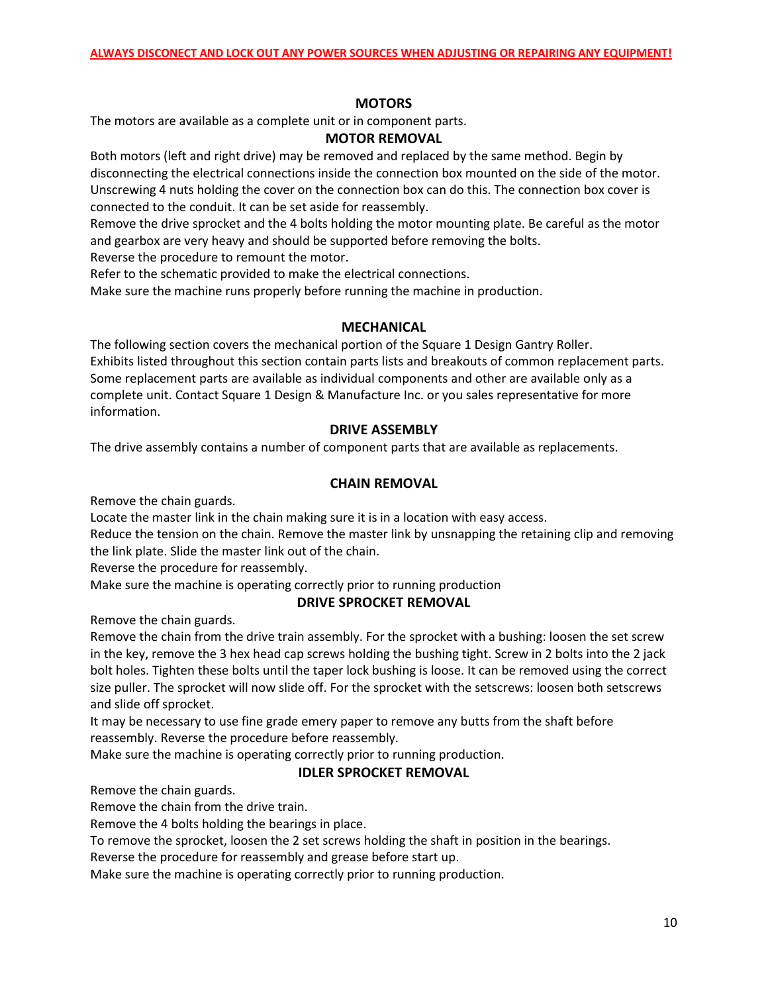#### **MOTORS**

The motors are available as a complete unit or in component parts.

#### **MOTOR REMOVAL**

Both motors (left and right drive) may be removed and replaced by the same method. Begin by disconnecting the electrical connections inside the connection box mounted on the side of the motor. Unscrewing 4 nuts holding the cover on the connection box can do this. The connection box cover is connected to the conduit. It can be set aside for reassembly.

Remove the drive sprocket and the 4 bolts holding the motor mounting plate. Be careful as the motor and gearbox are very heavy and should be supported before removing the bolts.

Reverse the procedure to remount the motor.

Refer to the schematic provided to make the electrical connections.

Make sure the machine runs properly before running the machine in production.

#### **MECHANICAL**

The following section covers the mechanical portion of the Square 1 Design Gantry Roller. Exhibits listed throughout this section contain parts lists and breakouts of common replacement parts. Some replacement parts are available as individual components and other are available only as a complete unit. Contact Square 1 Design & Manufacture Inc. or you sales representative for more information.

#### **DRIVE ASSEMBLY**

The drive assembly contains a number of component parts that are available as replacements.

#### **CHAIN REMOVAL**

Remove the chain guards.

Locate the master link in the chain making sure it is in a location with easy access.

Reduce the tension on the chain. Remove the master link by unsnapping the retaining clip and removing the link plate. Slide the master link out of the chain.

Reverse the procedure for reassembly.

Make sure the machine is operating correctly prior to running production

#### **DRIVE SPROCKET REMOVAL**

Remove the chain guards.

Remove the chain from the drive train assembly. For the sprocket with a bushing: loosen the set screw in the key, remove the 3 hex head cap screws holding the bushing tight. Screw in 2 bolts into the 2 jack bolt holes. Tighten these bolts until the taper lock bushing is loose. It can be removed using the correct size puller. The sprocket will now slide off. For the sprocket with the setscrews: loosen both setscrews and slide off sprocket.

It may be necessary to use fine grade emery paper to remove any butts from the shaft before reassembly. Reverse the procedure before reassembly.

Make sure the machine is operating correctly prior to running production.

#### **IDLER SPROCKET REMOVAL**

Remove the chain guards.

Remove the chain from the drive train.

Remove the 4 bolts holding the bearings in place.

To remove the sprocket, loosen the 2 set screws holding the shaft in position in the bearings.

Reverse the procedure for reassembly and grease before start up.

Make sure the machine is operating correctly prior to running production.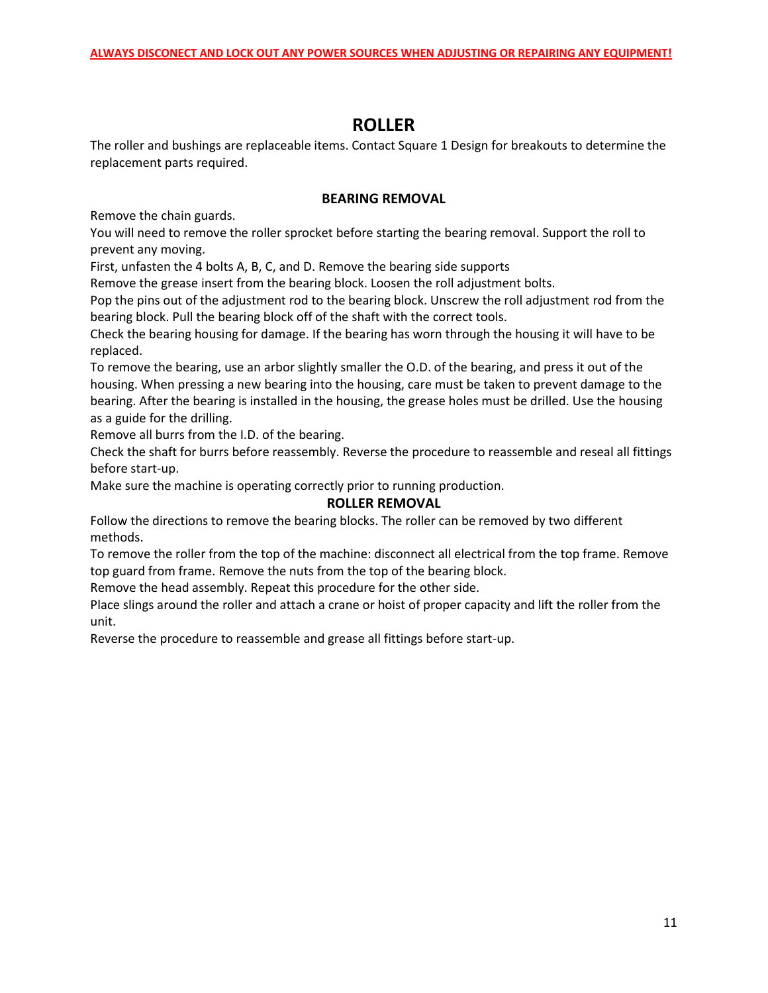# **ROLLER**

The roller and bushings are replaceable items. Contact Square 1 Design for breakouts to determine the replacement parts required.

# **BEARING REMOVAL**

Remove the chain guards.

You will need to remove the roller sprocket before starting the bearing removal. Support the roll to prevent any moving.

First, unfasten the 4 bolts A, B, C, and D. Remove the bearing side supports

Remove the grease insert from the bearing block. Loosen the roll adjustment bolts.

Pop the pins out of the adjustment rod to the bearing block. Unscrew the roll adjustment rod from the bearing block. Pull the bearing block off of the shaft with the correct tools.

Check the bearing housing for damage. If the bearing has worn through the housing it will have to be replaced.

To remove the bearing, use an arbor slightly smaller the O.D. of the bearing, and press it out of the housing. When pressing a new bearing into the housing, care must be taken to prevent damage to the bearing. After the bearing is installed in the housing, the grease holes must be drilled. Use the housing as a guide for the drilling.

Remove all burrs from the I.D. of the bearing.

Check the shaft for burrs before reassembly. Reverse the procedure to reassemble and reseal all fittings before start-up.

Make sure the machine is operating correctly prior to running production.

# **ROLLER REMOVAL**

Follow the directions to remove the bearing blocks. The roller can be removed by two different methods.

To remove the roller from the top of the machine: disconnect all electrical from the top frame. Remove top guard from frame. Remove the nuts from the top of the bearing block.

Remove the head assembly. Repeat this procedure for the other side.

Place slings around the roller and attach a crane or hoist of proper capacity and lift the roller from the unit.

Reverse the procedure to reassemble and grease all fittings before start-up.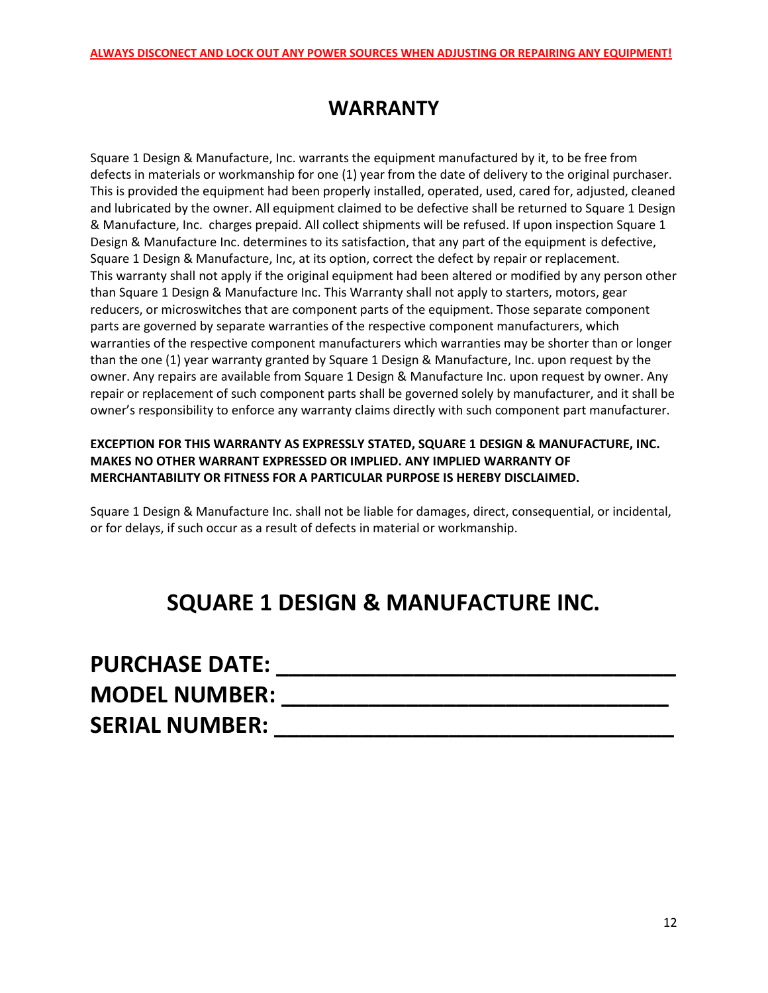# **WARRANTY**

Square 1 Design & Manufacture, Inc. warrants the equipment manufactured by it, to be free from defects in materials or workmanship for one (1) year from the date of delivery to the original purchaser. This is provided the equipment had been properly installed, operated, used, cared for, adjusted, cleaned and lubricated by the owner. All equipment claimed to be defective shall be returned to Square 1 Design & Manufacture, Inc. charges prepaid. All collect shipments will be refused. If upon inspection Square 1 Design & Manufacture Inc. determines to its satisfaction, that any part of the equipment is defective, Square 1 Design & Manufacture, Inc, at its option, correct the defect by repair or replacement. This warranty shall not apply if the original equipment had been altered or modified by any person other than Square 1 Design & Manufacture Inc. This Warranty shall not apply to starters, motors, gear reducers, or microswitches that are component parts of the equipment. Those separate component parts are governed by separate warranties of the respective component manufacturers, which warranties of the respective component manufacturers which warranties may be shorter than or longer than the one (1) year warranty granted by Square 1 Design & Manufacture, Inc. upon request by the owner. Any repairs are available from Square 1 Design & Manufacture Inc. upon request by owner. Any repair or replacement of such component parts shall be governed solely by manufacturer, and it shall be owner's responsibility to enforce any warranty claims directly with such component part manufacturer.

# **EXCEPTION FOR THIS WARRANTY AS EXPRESSLY STATED, SQUARE 1 DESIGN & MANUFACTURE, INC. MAKES NO OTHER WARRANT EXPRESSED OR IMPLIED. ANY IMPLIED WARRANTY OF MERCHANTABILITY OR FITNESS FOR A PARTICULAR PURPOSE IS HEREBY DISCLAIMED.**

Square 1 Design & Manufacture Inc. shall not be liable for damages, direct, consequential, or incidental, or for delays, if such occur as a result of defects in material or workmanship.

# **SQUARE 1 DESIGN & MANUFACTURE INC.**

| <b>PURCHASE DATE:</b> |  |
|-----------------------|--|
| <b>MODEL NUMBER:</b>  |  |
| <b>SERIAL NUMBER:</b> |  |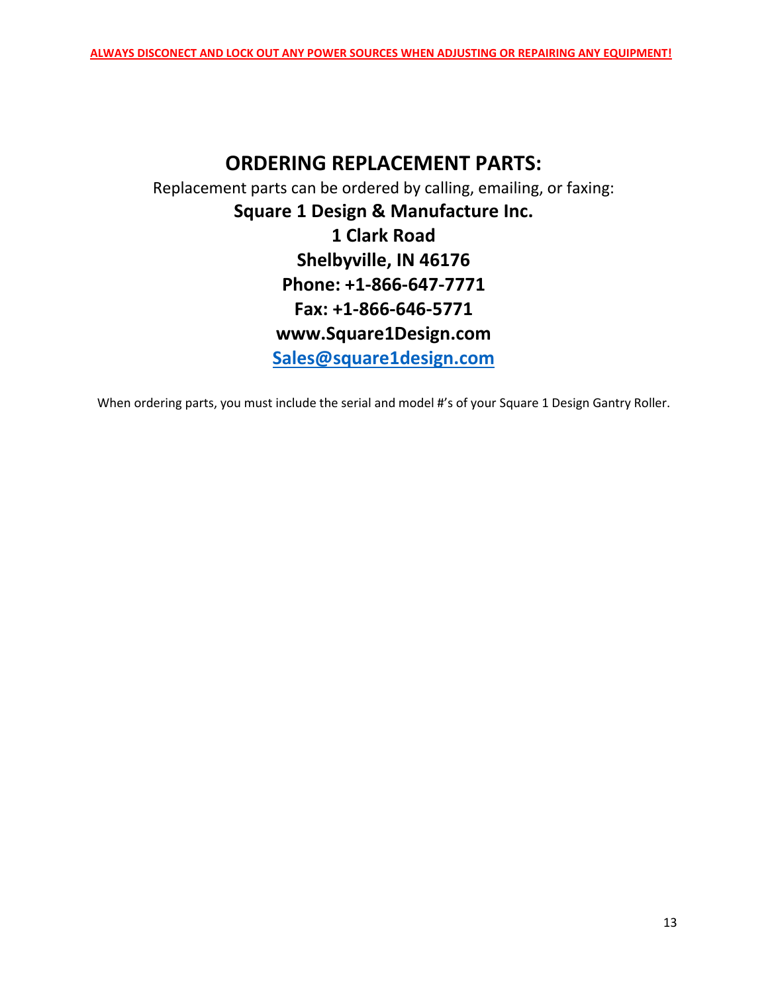# **ORDERING REPLACEMENT PARTS:**

Replacement parts can be ordered by calling, emailing, or faxing: **Square 1 Design & Manufacture Inc. 1 Clark Road Shelbyville, IN 46176 Phone: +1-866-647-7771 Fax: +1-866-646-5771 www.Square1Design.com [Sales@square1design.com](mailto:Sales@square1design.com)**

When ordering parts, you must include the serial and model #'s of your Square 1 Design Gantry Roller.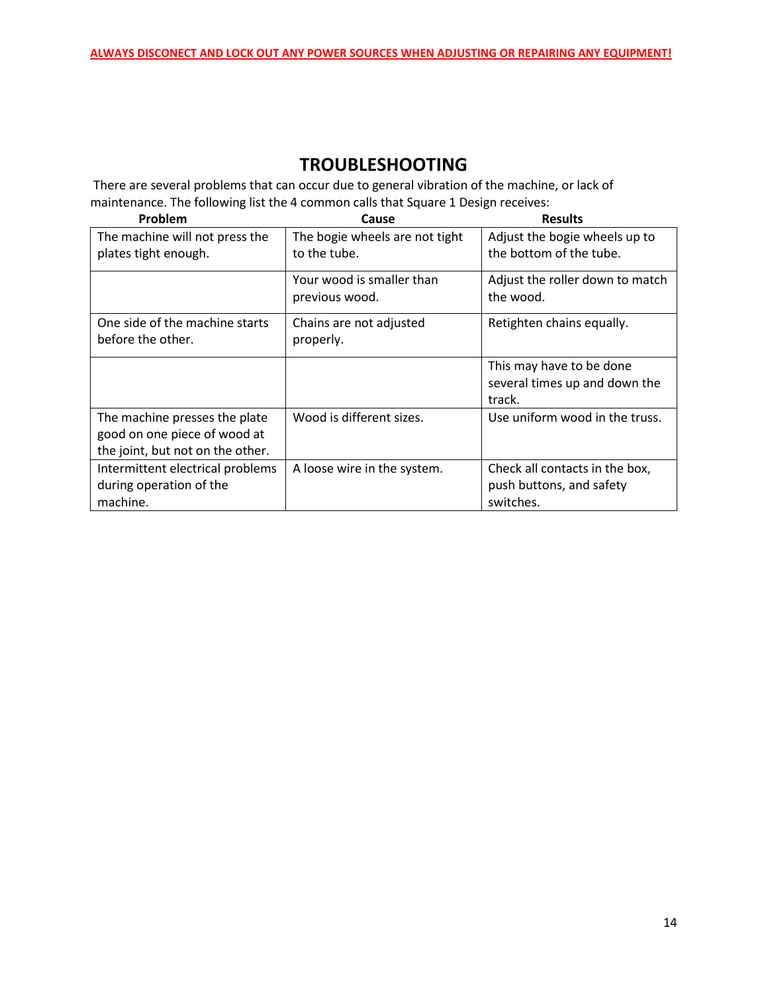# **TROUBLESHOOTING**

There are several problems that can occur due to general vibration of the machine, or lack of maintenance. The following list the 4 common calls that Square 1 Design receives:

| Problem                                                | Cause                                          | <b>Results</b>                                           |
|--------------------------------------------------------|------------------------------------------------|----------------------------------------------------------|
| The machine will not press the<br>plates tight enough. | The bogie wheels are not tight<br>to the tube. | Adjust the bogie wheels up to<br>the bottom of the tube. |
|                                                        |                                                |                                                          |
|                                                        | Your wood is smaller than                      | Adjust the roller down to match                          |
|                                                        | previous wood.                                 | the wood.                                                |
| One side of the machine starts                         | Chains are not adjusted                        | Retighten chains equally.                                |
| before the other.                                      | properly.                                      |                                                          |
|                                                        |                                                | This may have to be done                                 |
|                                                        |                                                | several times up and down the                            |
|                                                        |                                                | track.                                                   |
| The machine presses the plate                          | Wood is different sizes.                       | Use uniform wood in the truss.                           |
| good on one piece of wood at                           |                                                |                                                          |
| the joint, but not on the other.                       |                                                |                                                          |
| Intermittent electrical problems                       | A loose wire in the system.                    | Check all contacts in the box,                           |
| during operation of the                                |                                                | push buttons, and safety                                 |
| machine.                                               |                                                | switches.                                                |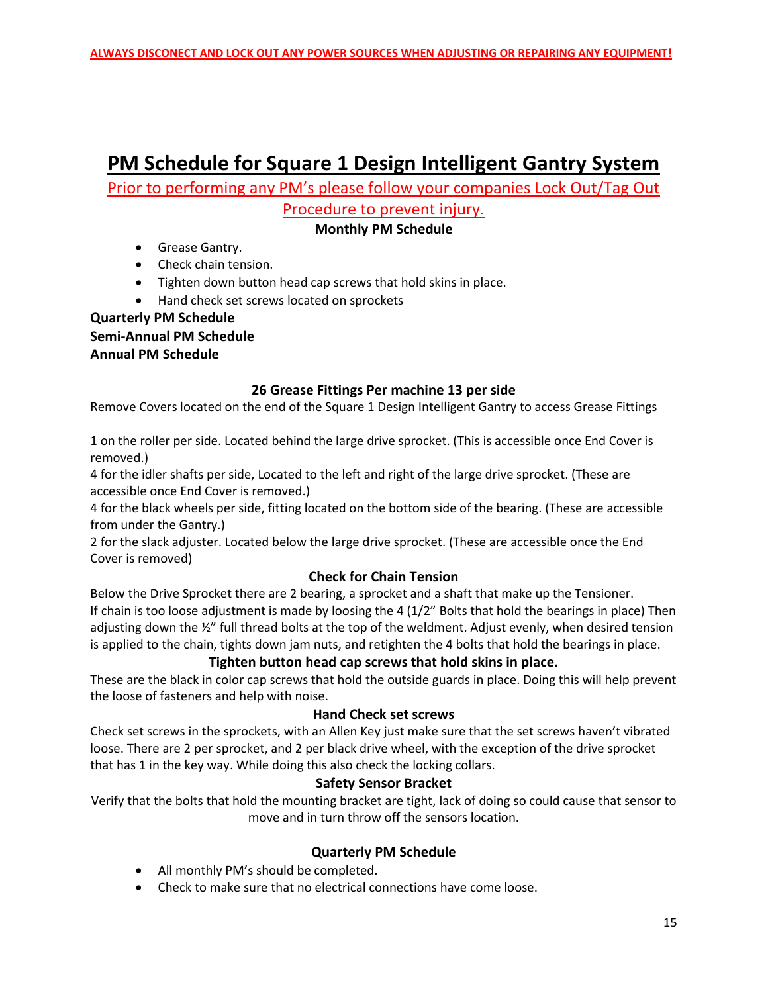# **PM Schedule for Square 1 Design Intelligent Gantry System**

Prior to performing any PM's please follow your companies Lock Out/Tag Out

# Procedure to prevent injury.

### **Monthly PM Schedule**

- Grease Gantry.
- Check chain tension.
- Tighten down button head cap screws that hold skins in place.
- Hand check set screws located on sprockets

# **Quarterly PM Schedule Semi-Annual PM Schedule Annual PM Schedule**

# **26 Grease Fittings Per machine 13 per side**

Remove Covers located on the end of the Square 1 Design Intelligent Gantry to access Grease Fittings

1 on the roller per side. Located behind the large drive sprocket. (This is accessible once End Cover is removed.)

4 for the idler shafts per side, Located to the left and right of the large drive sprocket. (These are accessible once End Cover is removed.)

4 for the black wheels per side, fitting located on the bottom side of the bearing. (These are accessible from under the Gantry.)

2 for the slack adjuster. Located below the large drive sprocket. (These are accessible once the End Cover is removed)

# **Check for Chain Tension**

Below the Drive Sprocket there are 2 bearing, a sprocket and a shaft that make up the Tensioner. If chain is too loose adjustment is made by loosing the 4 (1/2" Bolts that hold the bearings in place) Then adjusting down the  $\frac{y}{n}$  full thread bolts at the top of the weldment. Adjust evenly, when desired tension is applied to the chain, tights down jam nuts, and retighten the 4 bolts that hold the bearings in place.

# **Tighten button head cap screws that hold skins in place.**

These are the black in color cap screws that hold the outside guards in place. Doing this will help prevent the loose of fasteners and help with noise.

# **Hand Check set screws**

Check set screws in the sprockets, with an Allen Key just make sure that the set screws haven't vibrated loose. There are 2 per sprocket, and 2 per black drive wheel, with the exception of the drive sprocket that has 1 in the key way. While doing this also check the locking collars.

# **Safety Sensor Bracket**

Verify that the bolts that hold the mounting bracket are tight, lack of doing so could cause that sensor to move and in turn throw off the sensors location.

# **Quarterly PM Schedule**

- All monthly PM's should be completed.
- Check to make sure that no electrical connections have come loose.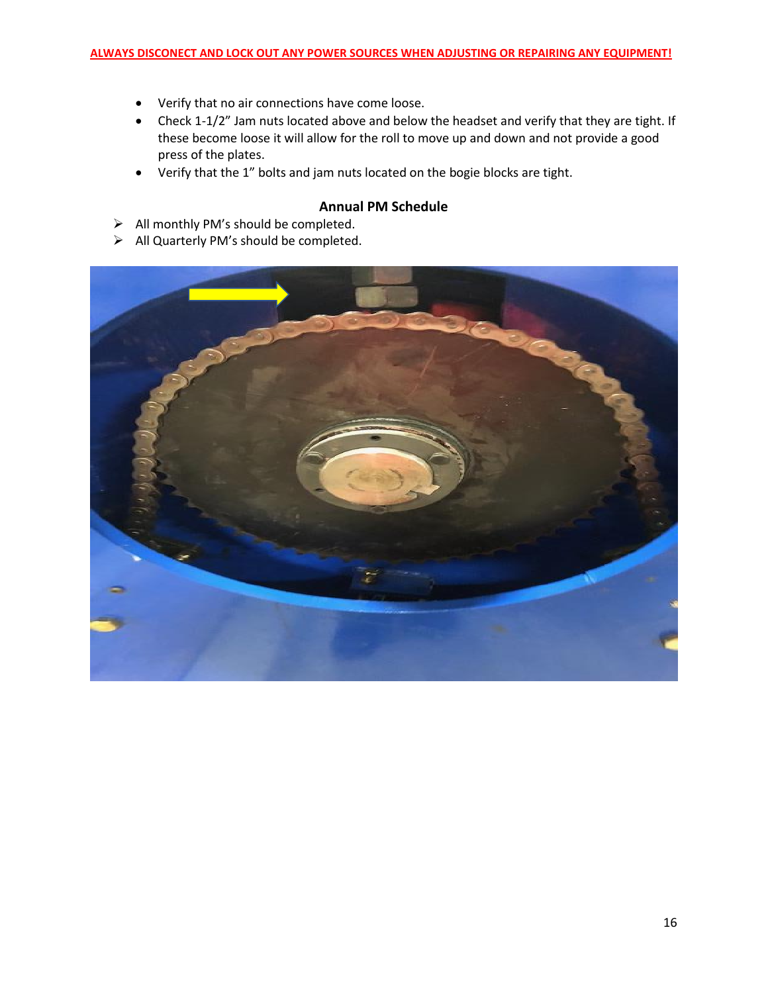- Verify that no air connections have come loose.
- Check 1-1/2" Jam nuts located above and below the headset and verify that they are tight. If these become loose it will allow for the roll to move up and down and not provide a good press of the plates.
- Verify that the 1" bolts and jam nuts located on the bogie blocks are tight.

### **Annual PM Schedule**

- $\triangleright$  All monthly PM's should be completed.
- ➢ All Quarterly PM's should be completed.

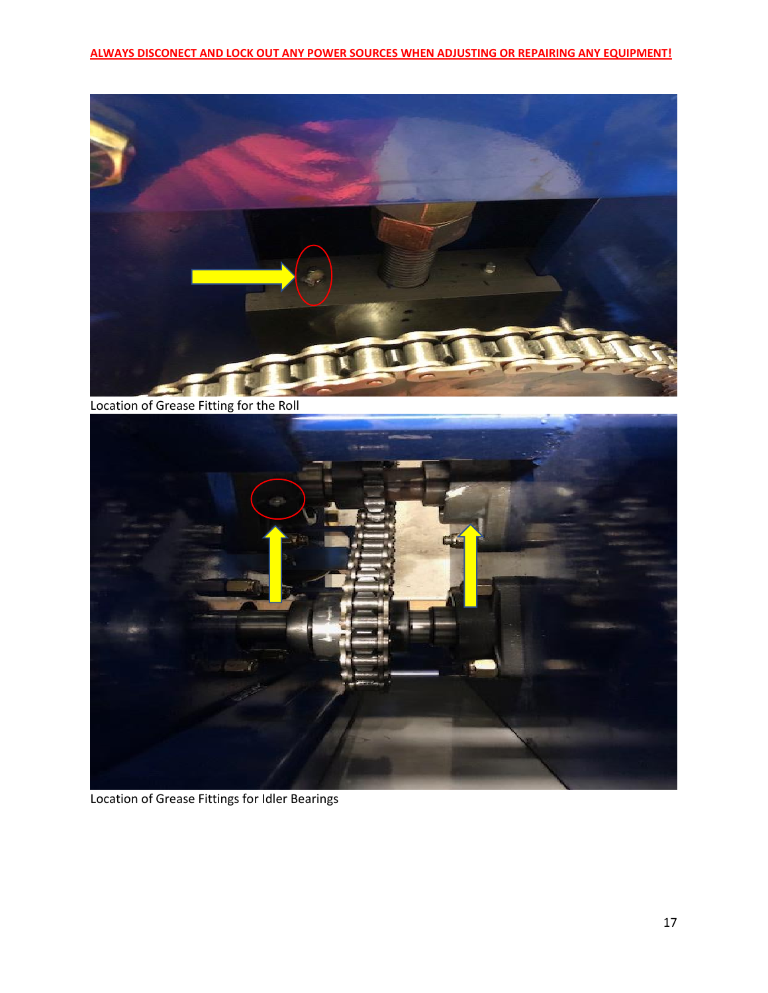

Location of Grease Fitting for the Roll



Location of Grease Fittings for Idler Bearings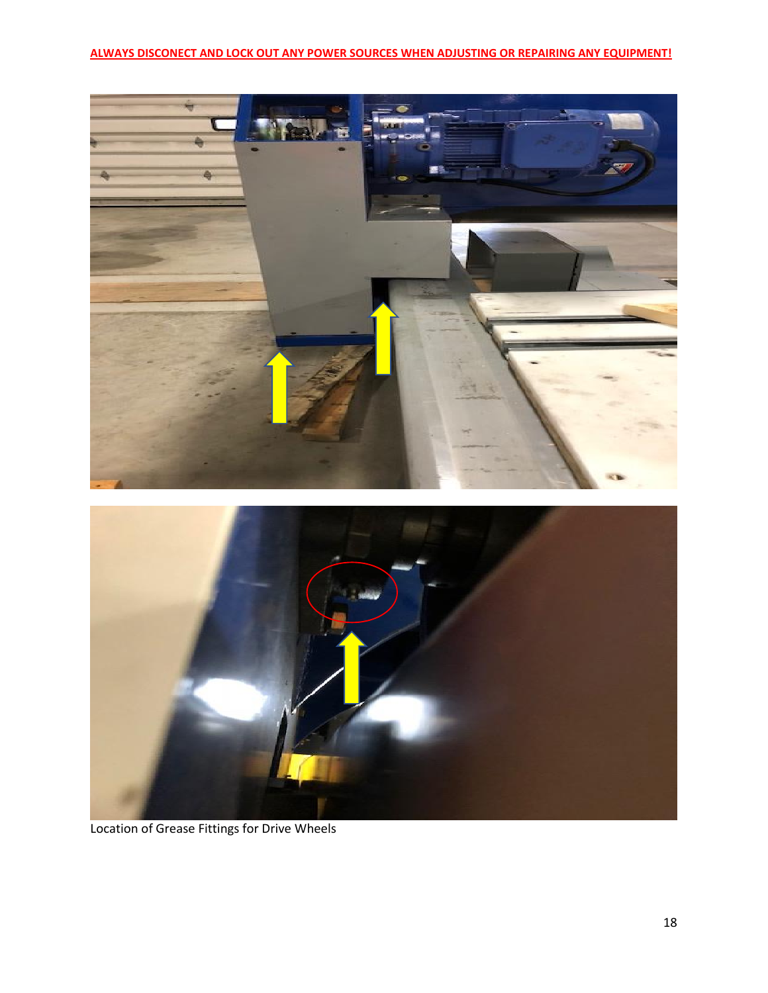# **ALWAYS DISCONECT AND LOCK OUT ANY POWER SOURCES WHEN ADJUSTING OR REPAIRING ANY EQUIPMENT!**



Location of Grease Fittings for Drive Wheels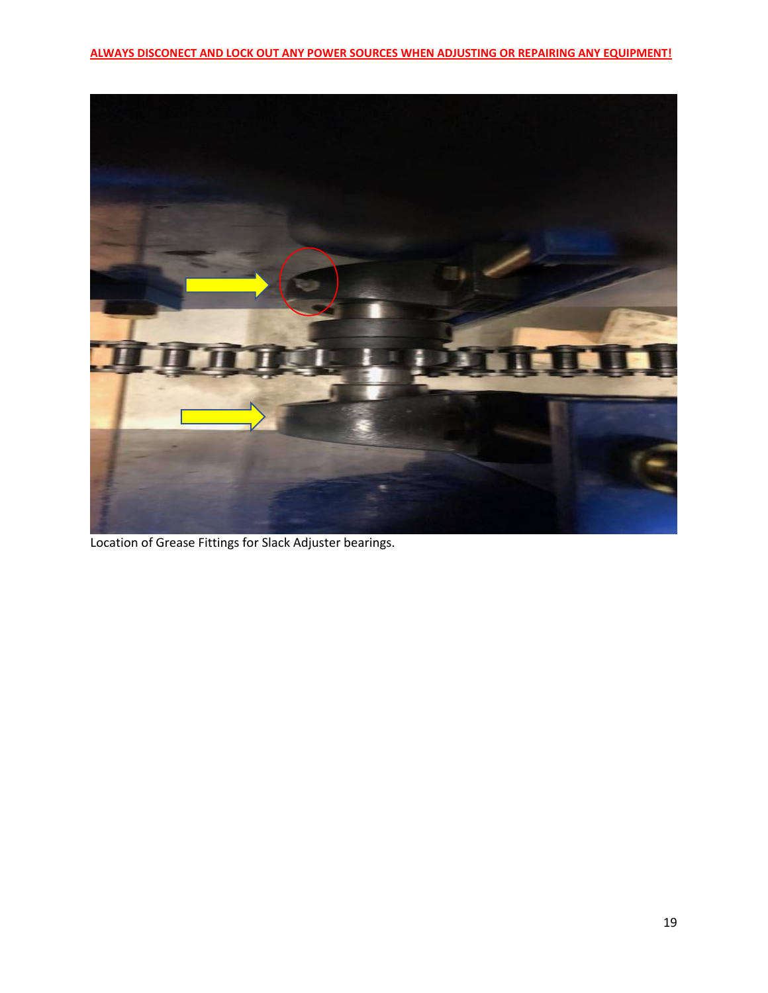

Location of Grease Fittings for Slack Adjuster bearings.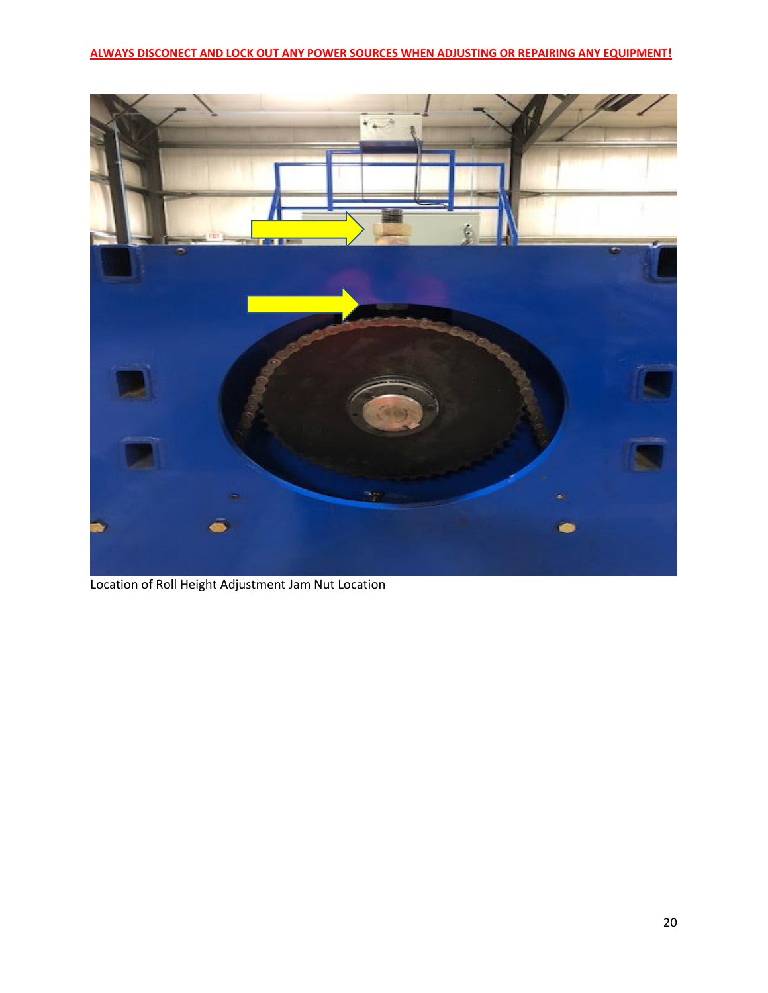**ALWAYS DISCONECT AND LOCK OUT ANY POWER SOURCES WHEN ADJUSTING OR REPAIRING ANY EQUIPMENT!** 



Location of Roll Height Adjustment Jam Nut Location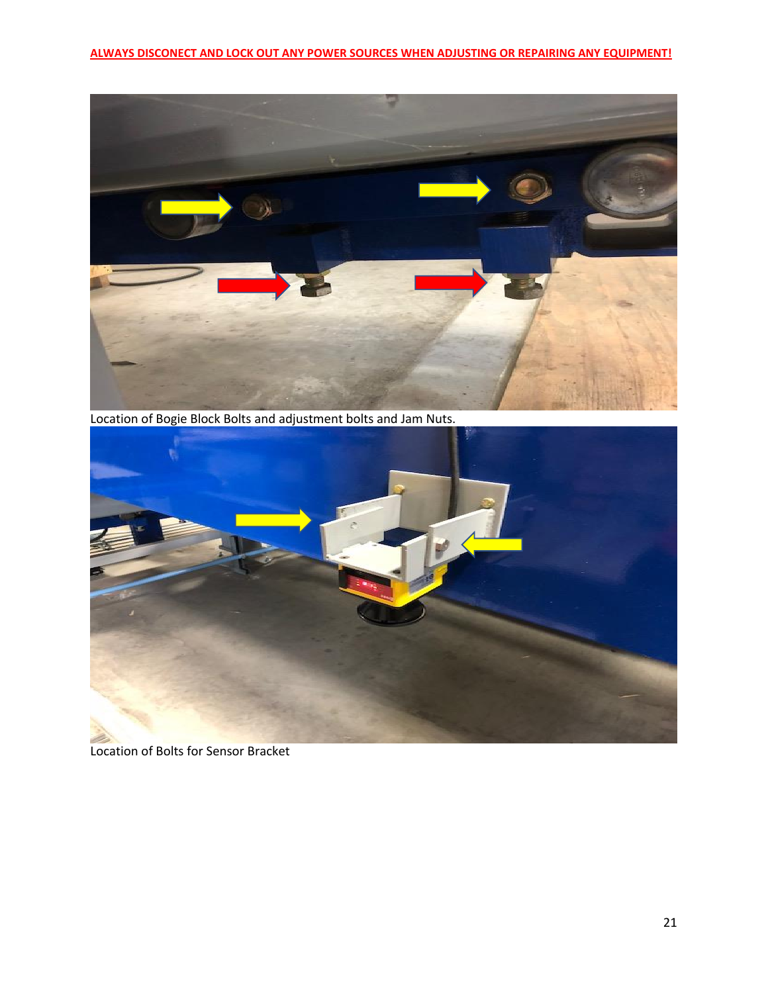

Location of Bogie Block Bolts and adjustment bolts and Jam Nuts.



Location of Bolts for Sensor Bracket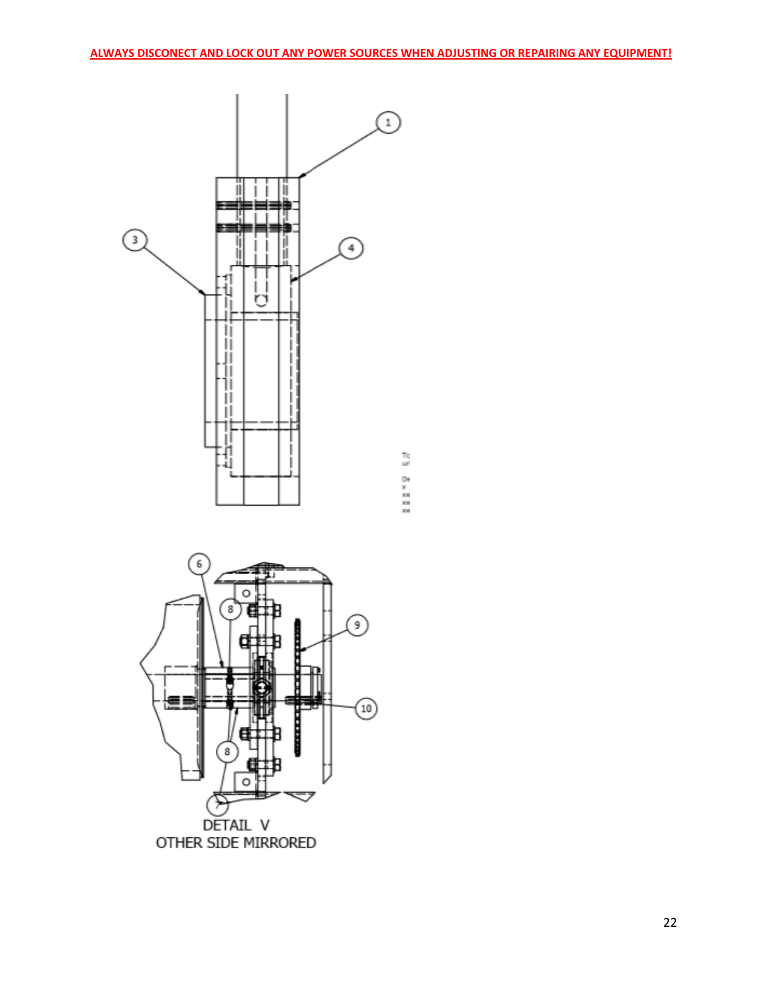

3 ⊕ 8 o ≂ ⊁ DETAIL V OTHER SIDE MIRRORED

化二氯苯醚醚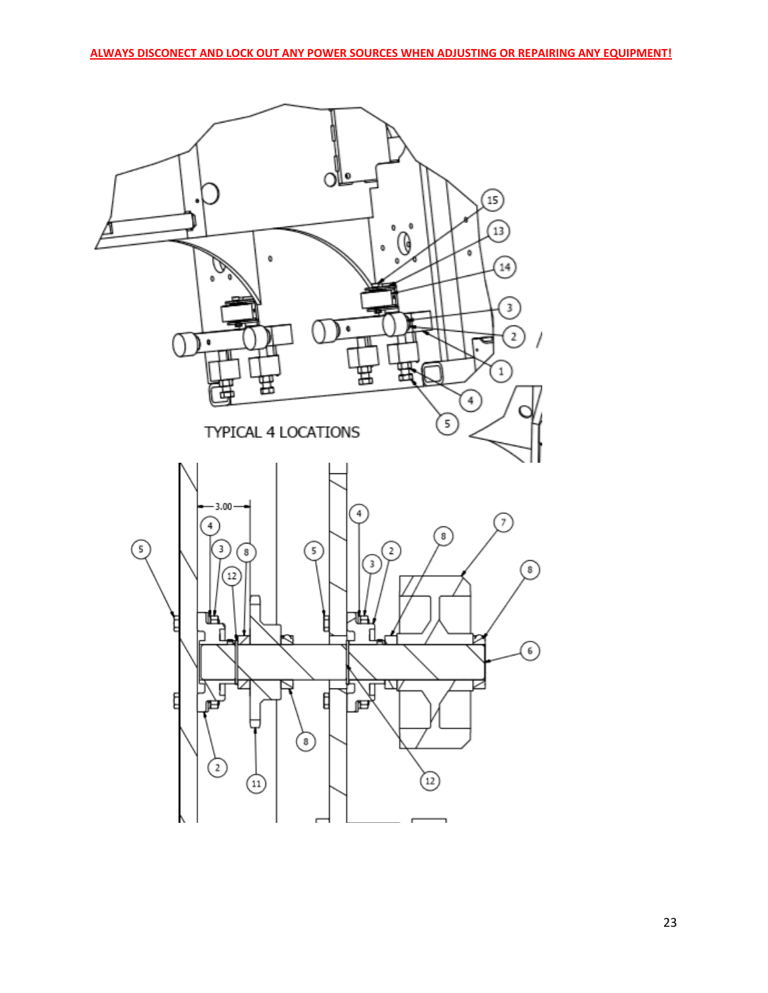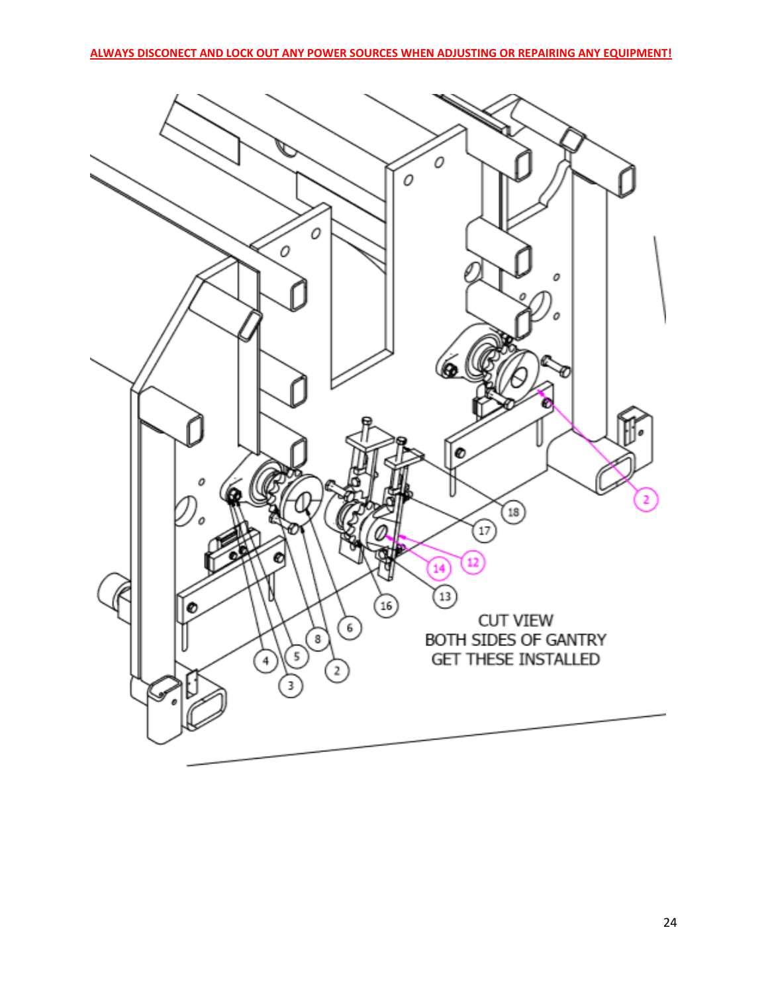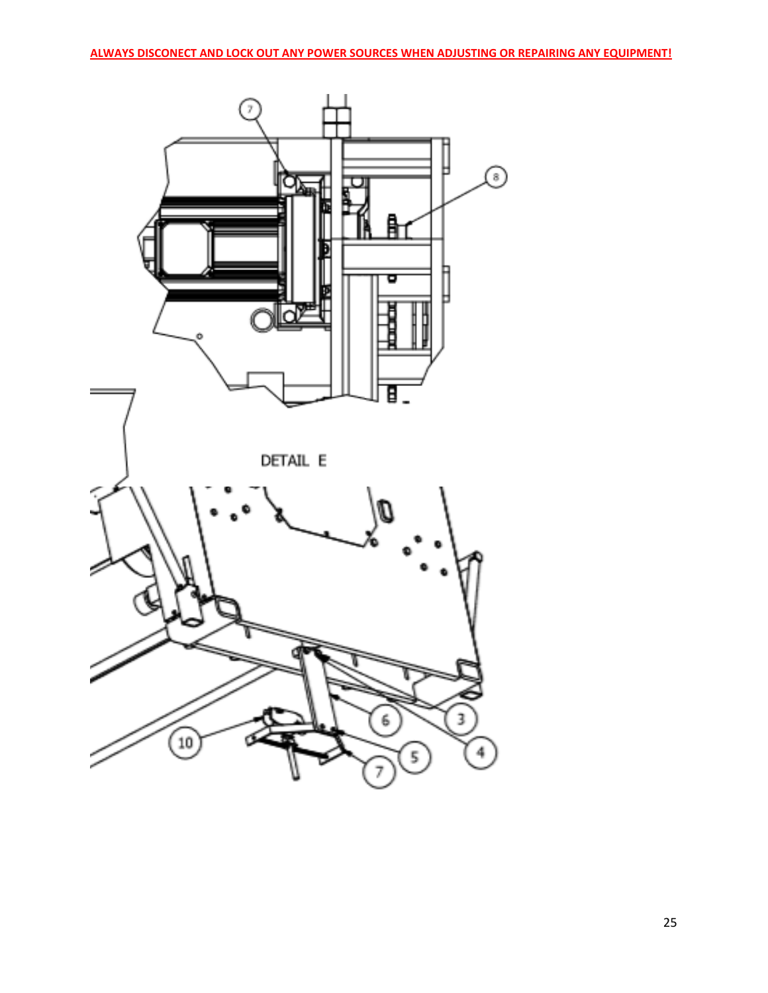

25